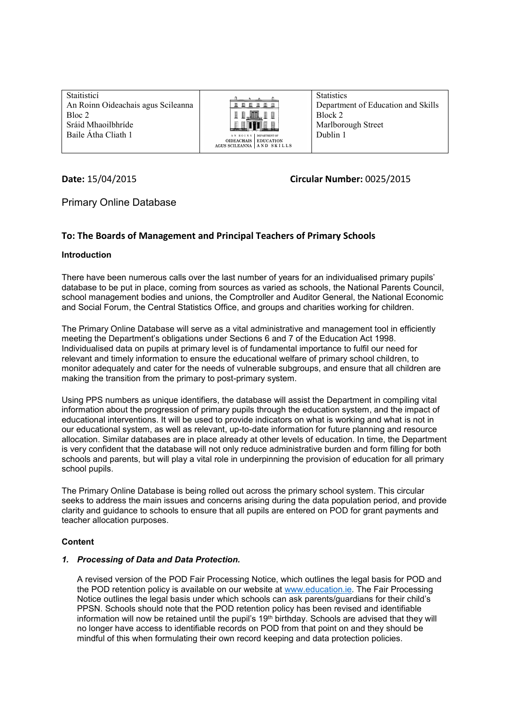| Staitisticí                        |                                                                     | <b>Statistics</b>                  |
|------------------------------------|---------------------------------------------------------------------|------------------------------------|
| An Roinn Oideachais agus Scileanna | 風風画画画画                                                              | Department of Education and Skills |
| Bloc 2                             | l<br>H                                                              | Block 2                            |
| Sráid Mhaoilbhríde                 |                                                                     | Marlborough Street                 |
| Baile Átha Cliath 1                | AN ROINN DEPARTMENT OF                                              | Dublin 1                           |
|                                    | <b>OIDEACHAIS   EDUCATION</b><br>AGUS SCILEANNA   A N D S K I L L S |                                    |
|                                    |                                                                     |                                    |

**Date:** 15/04/2015 **Circular Number:** 0025/2015

# Primary Online Database

## **To: The Boards of Management and Principal Teachers of Primary Schools**

### **Introduction**

There have been numerous calls over the last number of years for an individualised primary pupils' database to be put in place, coming from sources as varied as schools, the National Parents Council, school management bodies and unions, the Comptroller and Auditor General, the National Economic and Social Forum, the Central Statistics Office, and groups and charities working for children.

The Primary Online Database will serve as a vital administrative and management tool in efficiently meeting the Department's obligations under Sections 6 and 7 of the Education Act 1998. Individualised data on pupils at primary level is of fundamental importance to fulfil our need for relevant and timely information to ensure the educational welfare of primary school children, to monitor adequately and cater for the needs of vulnerable subgroups, and ensure that all children are making the transition from the primary to post-primary system.

Using PPS numbers as unique identifiers, the database will assist the Department in compiling vital information about the progression of primary pupils through the education system, and the impact of educational interventions. It will be used to provide indicators on what is working and what is not in our educational system, as well as relevant, up-to-date information for future planning and resource allocation. Similar databases are in place already at other levels of education. In time, the Department is very confident that the database will not only reduce administrative burden and form filling for both schools and parents, but will play a vital role in underpinning the provision of education for all primary school pupils.

The Primary Online Database is being rolled out across the primary school system. This circular seeks to address the main issues and concerns arising during the data population period, and provide clarity and guidance to schools to ensure that all pupils are entered on POD for grant payments and teacher allocation purposes.

#### **Content**

#### *1. Processing of Data and Data Protection.*

A revised version of the POD Fair Processing Notice, which outlines the legal basis for POD and the POD retention policy is available on our website at [www.education.ie.](http://www.education.ie/) The Fair Processing Notice outlines the legal basis under which schools can ask parents/guardians for their child's PPSN. Schools should note that the POD retention policy has been revised and identifiable information will now be retained until the pupil's 19<sup>th</sup> birthday. Schools are advised that they will no longer have access to identifiable records on POD from that point on and they should be mindful of this when formulating their own record keeping and data protection policies.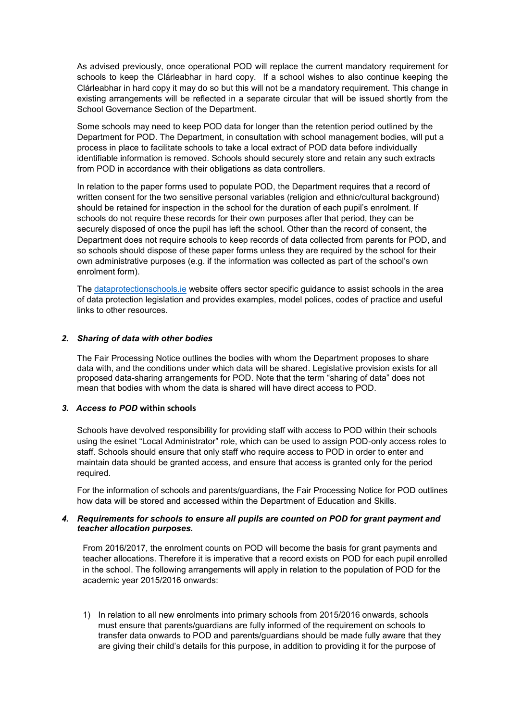As advised previously, once operational POD will replace the current mandatory requirement for schools to keep the Clárleabhar in hard copy. If a school wishes to also continue keeping the Clárleabhar in hard copy it may do so but this will not be a mandatory requirement. This change in existing arrangements will be reflected in a separate circular that will be issued shortly from the School Governance Section of the Department.

Some schools may need to keep POD data for longer than the retention period outlined by the Department for POD. The Department, in consultation with school management bodies, will put a process in place to facilitate schools to take a local extract of POD data before individually identifiable information is removed. Schools should securely store and retain any such extracts from POD in accordance with their obligations as data controllers.

In relation to the paper forms used to populate POD, the Department requires that a record of written consent for the two sensitive personal variables (religion and ethnic/cultural background) should be retained for inspection in the school for the duration of each pupil's enrolment. If schools do not require these records for their own purposes after that period, they can be securely disposed of once the pupil has left the school. Other than the record of consent, the Department does not require schools to keep records of data collected from parents for POD, and so schools should dispose of these paper forms unless they are required by the school for their own administrative purposes (e.g. if the information was collected as part of the school's own enrolment form).

The [dataprotectionschools.ie](file:///C:/Users/maria_sullivan/AppData/Local/Microsoft/Windows/Temporary%20Internet%20Files/Content.Outlook/PO0DVHDM/www.dataprotectionschools.ie) website offers sector specific guidance to assist schools in the area of data protection legislation and provides examples, model polices, codes of practice and useful links to other resources.

### *2. Sharing of data with other bodies*

The Fair Processing Notice outlines the bodies with whom the Department proposes to share data with, and the conditions under which data will be shared. Legislative provision exists for all proposed data-sharing arrangements for POD. Note that the term "sharing of data" does not mean that bodies with whom the data is shared will have direct access to POD.

### *3. Access to POD* **within schools**

Schools have devolved responsibility for providing staff with access to POD within their schools using the esinet "Local Administrator" role, which can be used to assign POD-only access roles to staff. Schools should ensure that only staff who require access to POD in order to enter and maintain data should be granted access, and ensure that access is granted only for the period required.

For the information of schools and parents/guardians, the Fair Processing Notice for POD outlines how data will be stored and accessed within the Department of Education and Skills.

### *4. Requirements for schools to ensure all pupils are counted on POD for grant payment and teacher allocation purposes.*

From 2016/2017, the enrolment counts on POD will become the basis for grant payments and teacher allocations. Therefore it is imperative that a record exists on POD for each pupil enrolled in the school. The following arrangements will apply in relation to the population of POD for the academic year 2015/2016 onwards:

1) In relation to all new enrolments into primary schools from 2015/2016 onwards, schools must ensure that parents/guardians are fully informed of the requirement on schools to transfer data onwards to POD and parents/guardians should be made fully aware that they are giving their child's details for this purpose, in addition to providing it for the purpose of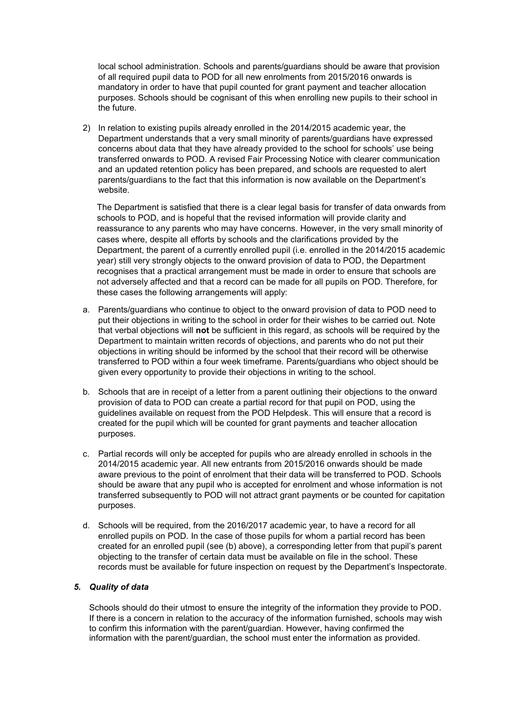local school administration. Schools and parents/guardians should be aware that provision of all required pupil data to POD for all new enrolments from 2015/2016 onwards is mandatory in order to have that pupil counted for grant payment and teacher allocation purposes. Schools should be cognisant of this when enrolling new pupils to their school in the future.

2) In relation to existing pupils already enrolled in the 2014/2015 academic year, the Department understands that a very small minority of parents/guardians have expressed concerns about data that they have already provided to the school for schools' use being transferred onwards to POD. A revised Fair Processing Notice with clearer communication and an updated retention policy has been prepared, and schools are requested to alert parents/guardians to the fact that this information is now available on the Department's website.

The Department is satisfied that there is a clear legal basis for transfer of data onwards from schools to POD, and is hopeful that the revised information will provide clarity and reassurance to any parents who may have concerns. However, in the very small minority of cases where, despite all efforts by schools and the clarifications provided by the Department, the parent of a currently enrolled pupil (i.e. enrolled in the 2014/2015 academic year) still very strongly objects to the onward provision of data to POD, the Department recognises that a practical arrangement must be made in order to ensure that schools are not adversely affected and that a record can be made for all pupils on POD. Therefore, for these cases the following arrangements will apply:

- a. Parents/guardians who continue to object to the onward provision of data to POD need to put their objections in writing to the school in order for their wishes to be carried out. Note that verbal objections will **not** be sufficient in this regard, as schools will be required by the Department to maintain written records of objections, and parents who do not put their objections in writing should be informed by the school that their record will be otherwise transferred to POD within a four week timeframe. Parents/guardians who object should be given every opportunity to provide their objections in writing to the school.
- b. Schools that are in receipt of a letter from a parent outlining their objections to the onward provision of data to POD can create a partial record for that pupil on POD, using the guidelines available on request from the POD Helpdesk. This will ensure that a record is created for the pupil which will be counted for grant payments and teacher allocation purposes.
- c. Partial records will only be accepted for pupils who are already enrolled in schools in the 2014/2015 academic year. All new entrants from 2015/2016 onwards should be made aware previous to the point of enrolment that their data will be transferred to POD. Schools should be aware that any pupil who is accepted for enrolment and whose information is not transferred subsequently to POD will not attract grant payments or be counted for capitation purposes.
- d. Schools will be required, from the 2016/2017 academic year, to have a record for all enrolled pupils on POD. In the case of those pupils for whom a partial record has been created for an enrolled pupil (see (b) above), a corresponding letter from that pupil's parent objecting to the transfer of certain data must be available on file in the school. These records must be available for future inspection on request by the Department's Inspectorate.

### *5. Quality of data*

Schools should do their utmost to ensure the integrity of the information they provide to POD. If there is a concern in relation to the accuracy of the information furnished, schools may wish to confirm this information with the parent/guardian. However, having confirmed the information with the parent/guardian, the school must enter the information as provided.